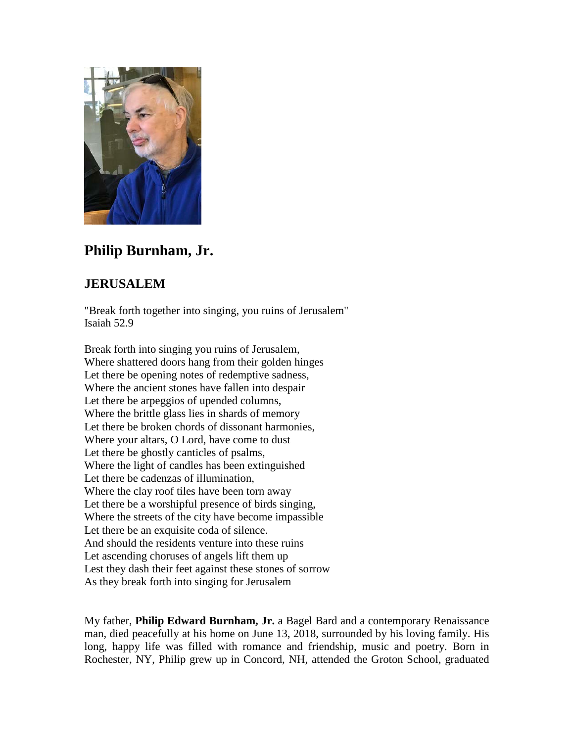

## **Philip Burnham, Jr.**

## **JERUSALEM**

"Break forth together into singing, you ruins of Jerusalem" Isaiah 52.9

Break forth into singing you ruins of Jerusalem, Where shattered doors hang from their golden hinges Let there be opening notes of redemptive sadness, Where the ancient stones have fallen into despair Let there be arpeggios of upended columns, Where the brittle glass lies in shards of memory Let there be broken chords of dissonant harmonies, Where your altars, O Lord, have come to dust Let there be ghostly canticles of psalms, Where the light of candles has been extinguished Let there be cadenzas of illumination, Where the clay roof tiles have been torn away Let there be a worshipful presence of birds singing, Where the streets of the city have become impassible Let there be an exquisite coda of silence. And should the residents venture into these ruins Let ascending choruses of angels lift them up Lest they dash their feet against these stones of sorrow As they break forth into singing for Jerusalem

My father, **Philip Edward Burnham, Jr.** a Bagel Bard and a contemporary Renaissance man, died peacefully at his home on June 13, 2018, surrounded by his loving family. His long, happy life was filled with romance and friendship, music and poetry. Born in Rochester, NY, Philip grew up in Concord, NH, attended the Groton School, graduated